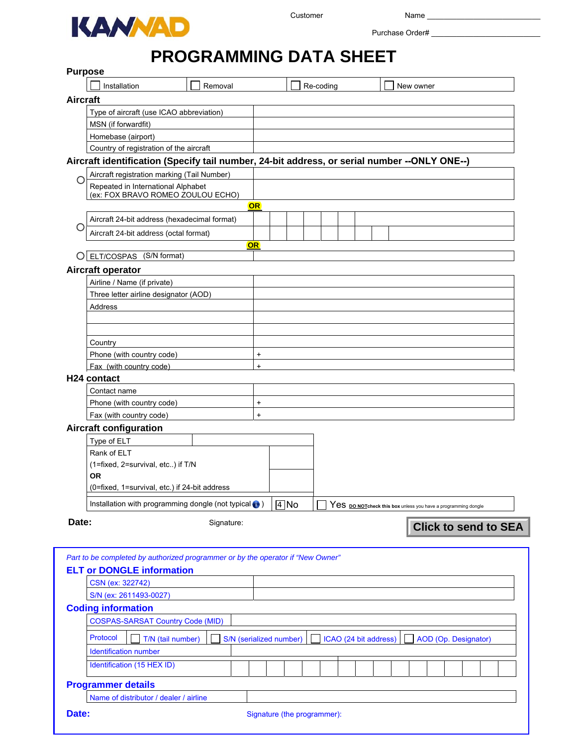

Purchase Order# \_\_\_\_\_\_\_\_\_\_\_\_\_\_\_\_\_\_\_\_\_\_\_\_\_\_

# **PROGRAMMING DATA SHEET**

|                 | <b>Purpose</b>                                                                               |            |           |                         |                             |                       |  |                                                                |                             |  |
|-----------------|----------------------------------------------------------------------------------------------|------------|-----------|-------------------------|-----------------------------|-----------------------|--|----------------------------------------------------------------|-----------------------------|--|
|                 | Installation                                                                                 | Removal    |           |                         | Re-coding                   |                       |  | New owner                                                      |                             |  |
| <b>Aircraft</b> |                                                                                              |            |           |                         |                             |                       |  |                                                                |                             |  |
|                 | Type of aircraft (use ICAO abbreviation)                                                     |            |           |                         |                             |                       |  |                                                                |                             |  |
|                 | MSN (if forwardfit)                                                                          |            |           |                         |                             |                       |  |                                                                |                             |  |
|                 | Homebase (airport)                                                                           |            |           |                         |                             |                       |  |                                                                |                             |  |
|                 | Country of registration of the aircraft                                                      |            |           |                         |                             |                       |  |                                                                |                             |  |
|                 | Aircraft identification (Specify tail number, 24-bit address, or serial number --ONLY ONE--) |            |           |                         |                             |                       |  |                                                                |                             |  |
|                 | Aircraft registration marking (Tail Number)                                                  |            |           |                         |                             |                       |  |                                                                |                             |  |
|                 | Repeated in International Alphabet                                                           |            |           |                         |                             |                       |  |                                                                |                             |  |
|                 | (ex: FOX BRAVO ROMEO ZOULOU ECHO)                                                            |            | <b>OR</b> |                         |                             |                       |  |                                                                |                             |  |
|                 |                                                                                              |            |           |                         |                             |                       |  |                                                                |                             |  |
|                 | Aircraft 24-bit address (hexadecimal format)                                                 |            |           |                         |                             |                       |  |                                                                |                             |  |
|                 | Aircraft 24-bit address (octal format)                                                       |            |           |                         |                             |                       |  |                                                                |                             |  |
|                 | O ELT/COSPAS (S/N format)                                                                    |            | <b>OR</b> |                         |                             |                       |  |                                                                |                             |  |
|                 |                                                                                              |            |           |                         |                             |                       |  |                                                                |                             |  |
|                 | Aircraft operator                                                                            |            |           |                         |                             |                       |  |                                                                |                             |  |
|                 | Airline / Name (if private)                                                                  |            |           |                         |                             |                       |  |                                                                |                             |  |
|                 | Three letter airline designator (AOD)<br>Address                                             |            |           |                         |                             |                       |  |                                                                |                             |  |
|                 |                                                                                              |            |           |                         |                             |                       |  |                                                                |                             |  |
|                 |                                                                                              |            |           |                         |                             |                       |  |                                                                |                             |  |
|                 | Country                                                                                      |            |           |                         |                             |                       |  |                                                                |                             |  |
|                 | Phone (with country code)                                                                    |            | $\ddot{}$ |                         |                             |                       |  |                                                                |                             |  |
|                 | Fax (with country code)                                                                      |            | $\ddot{}$ |                         |                             |                       |  |                                                                |                             |  |
|                 | H <sub>24</sub> contact                                                                      |            |           |                         |                             |                       |  |                                                                |                             |  |
|                 | Contact name                                                                                 |            |           |                         |                             |                       |  |                                                                |                             |  |
|                 | Phone (with country code)                                                                    |            | $\ddot{}$ |                         |                             |                       |  |                                                                |                             |  |
|                 | Fax (with country code)                                                                      |            | $\ddot{}$ |                         |                             |                       |  |                                                                |                             |  |
|                 | <b>Aircraft configuration</b>                                                                |            |           |                         |                             |                       |  |                                                                |                             |  |
|                 | Type of ELT                                                                                  |            |           |                         |                             |                       |  |                                                                |                             |  |
|                 | Rank of ELT                                                                                  |            |           |                         |                             |                       |  |                                                                |                             |  |
|                 | (1=fixed, 2=survival, etc) if T/N                                                            |            |           |                         |                             |                       |  |                                                                |                             |  |
|                 | <b>OR</b>                                                                                    |            |           |                         |                             |                       |  |                                                                |                             |  |
|                 | (0=fixed, 1=survival, etc.) if 24-bit address                                                |            |           |                         |                             |                       |  |                                                                |                             |  |
|                 | Installation with programming dongle (not typical (a))                                       |            |           | $\sqrt{V}$ No           |                             |                       |  | Yes po Not check this box unless you have a programming dongle |                             |  |
| Date:           |                                                                                              | Signature: |           |                         |                             |                       |  |                                                                |                             |  |
|                 |                                                                                              |            |           |                         |                             |                       |  |                                                                | <b>Click to send to SEA</b> |  |
|                 |                                                                                              |            |           |                         |                             |                       |  |                                                                |                             |  |
|                 | Part to be completed by authorized programmer or by the operator if "New Owner"              |            |           |                         |                             |                       |  |                                                                |                             |  |
|                 | <b>ELT or DONGLE information</b>                                                             |            |           |                         |                             |                       |  |                                                                |                             |  |
|                 | CSN (ex: 322742)                                                                             |            |           |                         |                             |                       |  |                                                                |                             |  |
|                 | S/N (ex: 2611493-0027)                                                                       |            |           |                         |                             |                       |  |                                                                |                             |  |
|                 | <b>Coding information</b>                                                                    |            |           |                         |                             |                       |  |                                                                |                             |  |
|                 | <b>COSPAS-SARSAT Country Code (MID)</b>                                                      |            |           |                         |                             |                       |  |                                                                |                             |  |
|                 | Protocol                                                                                     |            |           |                         |                             |                       |  |                                                                |                             |  |
|                 | T/N (tail number)<br><b>Identification number</b>                                            |            |           | S/N (serialized number) |                             | ICAO (24 bit address) |  | AOD (Op. Designator)                                           |                             |  |
|                 |                                                                                              |            |           |                         |                             |                       |  |                                                                |                             |  |
|                 | Identification (15 HEX ID)                                                                   |            |           |                         |                             |                       |  |                                                                |                             |  |
|                 | <b>Programmer details</b>                                                                    |            |           |                         |                             |                       |  |                                                                |                             |  |
|                 | Name of distributor / dealer / airline                                                       |            |           |                         |                             |                       |  |                                                                |                             |  |
| Date:           |                                                                                              |            |           |                         | Signature (the programmer): |                       |  |                                                                |                             |  |
|                 |                                                                                              |            |           |                         |                             |                       |  |                                                                |                             |  |
|                 |                                                                                              |            |           |                         |                             |                       |  |                                                                |                             |  |